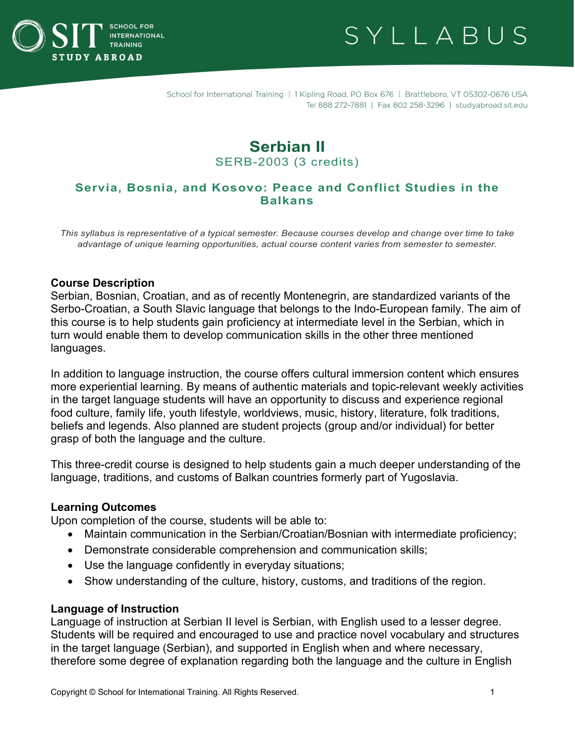



# **Serbian II** SERB-2003 (3 credits)

# **Servia, Bosnia, and Kosovo: Peace and Conflict Studies in the Balkans**

*This syllabus is representative of a typical semester. Because courses develop and change over time to take advantage of unique learning opportunities, actual course content varies from semester to semester.*

#### **Course Description**

Serbian, Bosnian, Croatian, and as of recently Montenegrin, are standardized variants of the Serbo-Croatian, a South Slavic language that belongs to the Indo-European family. The aim of this course is to help students gain proficiency at intermediate level in the Serbian, which in turn would enable them to develop communication skills in the other three mentioned languages.

In addition to language instruction, the course offers cultural immersion content which ensures more experiential learning. By means of authentic materials and topic-relevant weekly activities in the target language students will have an opportunity to discuss and experience regional food culture, family life, youth lifestyle, worldviews, music, history, literature, folk traditions, beliefs and legends. Also planned are student projects (group and/or individual) for better grasp of both the language and the culture.

This three-credit course is designed to help students gain a much deeper understanding of the language, traditions, and customs of Balkan countries formerly part of Yugoslavia.

#### **Learning Outcomes**

Upon completion of the course, students will be able to:

- Maintain communication in the Serbian/Croatian/Bosnian with intermediate proficiency;
- Demonstrate considerable comprehension and communication skills;
- Use the language confidently in everyday situations;
- Show understanding of the culture, history, customs, and traditions of the region.

#### **Language of Instruction**

Language of instruction at Serbian II level is Serbian, with English used to a lesser degree. Students will be required and encouraged to use and practice novel vocabulary and structures in the target language (Serbian), and supported in English when and where necessary, therefore some degree of explanation regarding both the language and the culture in English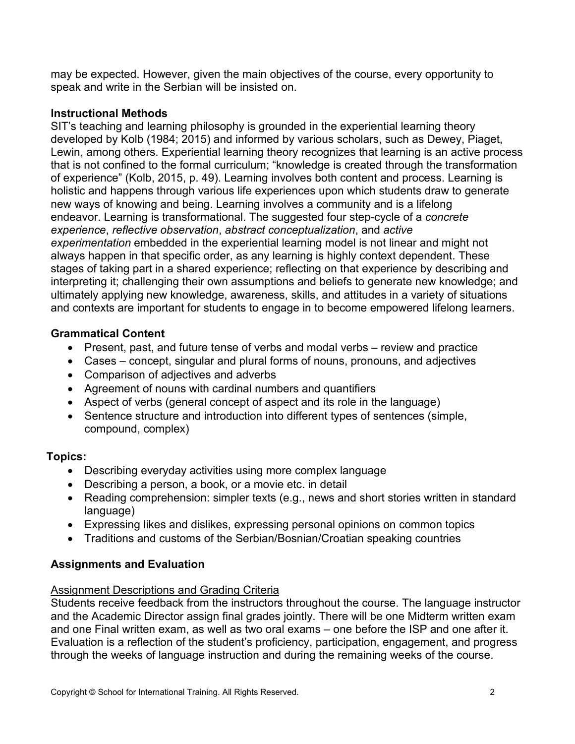may be expected. However, given the main objectives of the course, every opportunity to speak and write in the Serbian will be insisted on.

# **Instructional Methods**

SIT's teaching and learning philosophy is grounded in the experiential learning theory developed by Kolb (1984; 2015) and informed by various scholars, such as Dewey, Piaget, Lewin, among others. Experiential learning theory recognizes that learning is an active process that is not confined to the formal curriculum; "knowledge is created through the transformation of experience" (Kolb, 2015, p. 49). Learning involves both content and process. Learning is holistic and happens through various life experiences upon which students draw to generate new ways of knowing and being. Learning involves a community and is a lifelong endeavor. Learning is transformational. The suggested four step-cycle of a *concrete experience*, *reflective observation*, *abstract conceptualization*, and *active experimentation* embedded in the experiential learning model is not linear and might not always happen in that specific order, as any learning is highly context dependent. These stages of taking part in a shared experience; reflecting on that experience by describing and interpreting it; challenging their own assumptions and beliefs to generate new knowledge; and ultimately applying new knowledge, awareness, skills, and attitudes in a variety of situations and contexts are important for students to engage in to become empowered lifelong learners.

# **Grammatical Content**

- Present, past, and future tense of verbs and modal verbs review and practice
- Cases concept, singular and plural forms of nouns, pronouns, and adjectives
- Comparison of adjectives and adverbs
- Agreement of nouns with cardinal numbers and quantifiers
- Aspect of verbs (general concept of aspect and its role in the language)
- Sentence structure and introduction into different types of sentences (simple, compound, complex)

# **Topics:**

- Describing everyday activities using more complex language
- Describing a person, a book, or a movie etc. in detail
- Reading comprehension: simpler texts (e.g., news and short stories written in standard language)
- Expressing likes and dislikes, expressing personal opinions on common topics
- Traditions and customs of the Serbian/Bosnian/Croatian speaking countries

# **Assignments and Evaluation**

# Assignment Descriptions and Grading Criteria

Students receive feedback from the instructors throughout the course. The language instructor and the Academic Director assign final grades jointly. There will be one Midterm written exam and one Final written exam, as well as two oral exams – one before the ISP and one after it. Evaluation is a reflection of the student's proficiency, participation, engagement, and progress through the weeks of language instruction and during the remaining weeks of the course.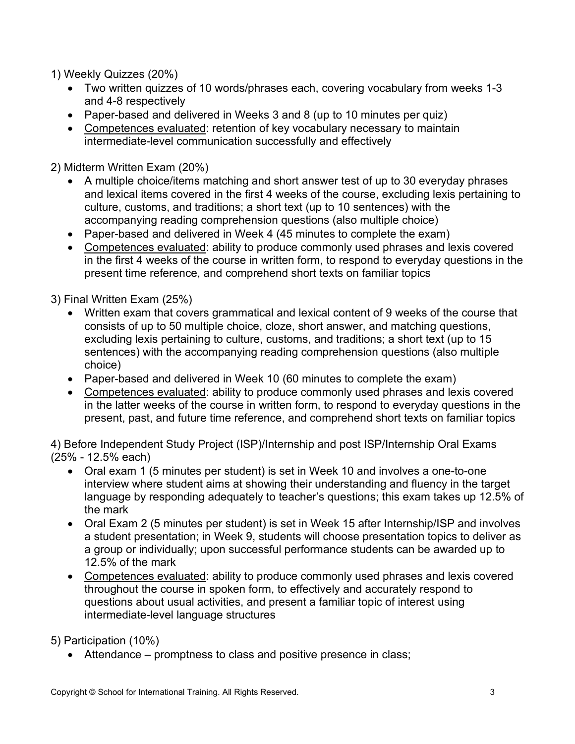1) Weekly Quizzes (20%)

- Two written quizzes of 10 words/phrases each, covering vocabulary from weeks 1-3 and 4-8 respectively
- Paper-based and delivered in Weeks 3 and 8 (up to 10 minutes per quiz)
- Competences evaluated: retention of key vocabulary necessary to maintain intermediate-level communication successfully and effectively

2) Midterm Written Exam (20%)

- A multiple choice/items matching and short answer test of up to 30 everyday phrases and lexical items covered in the first 4 weeks of the course, excluding lexis pertaining to culture, customs, and traditions; a short text (up to 10 sentences) with the accompanying reading comprehension questions (also multiple choice)
- Paper-based and delivered in Week 4 (45 minutes to complete the exam)
- Competences evaluated: ability to produce commonly used phrases and lexis covered in the first 4 weeks of the course in written form, to respond to everyday questions in the present time reference, and comprehend short texts on familiar topics

3) Final Written Exam (25%)

- Written exam that covers grammatical and lexical content of 9 weeks of the course that consists of up to 50 multiple choice, cloze, short answer, and matching questions, excluding lexis pertaining to culture, customs, and traditions; a short text (up to 15 sentences) with the accompanying reading comprehension questions (also multiple choice)
- Paper-based and delivered in Week 10 (60 minutes to complete the exam)
- Competences evaluated: ability to produce commonly used phrases and lexis covered in the latter weeks of the course in written form, to respond to everyday questions in the present, past, and future time reference, and comprehend short texts on familiar topics

4) Before Independent Study Project (ISP)/Internship and post ISP/Internship Oral Exams (25% - 12.5% each)

- Oral exam 1 (5 minutes per student) is set in Week 10 and involves a one-to-one interview where student aims at showing their understanding and fluency in the target language by responding adequately to teacher's questions; this exam takes up 12.5% of the mark
- Oral Exam 2 (5 minutes per student) is set in Week 15 after Internship/ISP and involves a student presentation; in Week 9, students will choose presentation topics to deliver as a group or individually; upon successful performance students can be awarded up to 12.5% of the mark
- Competences evaluated: ability to produce commonly used phrases and lexis covered throughout the course in spoken form, to effectively and accurately respond to questions about usual activities, and present a familiar topic of interest using intermediate-level language structures

5) Participation (10%)

• Attendance – promptness to class and positive presence in class;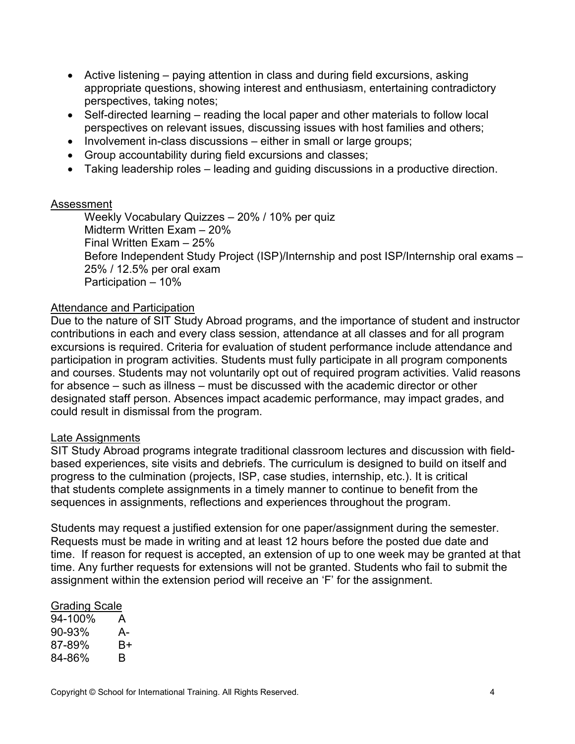- Active listening paying attention in class and during field excursions, asking appropriate questions, showing interest and enthusiasm, entertaining contradictory perspectives, taking notes;
- Self-directed learning reading the local paper and other materials to follow local perspectives on relevant issues, discussing issues with host families and others;
- Involvement in-class discussions either in small or large groups;
- Group accountability during field excursions and classes;
- Taking leadership roles leading and guiding discussions in a productive direction.

#### Assessment

Weekly Vocabulary Quizzes – 20% / 10% per quiz Midterm Written Exam – 20% Final Written Exam – 25% Before Independent Study Project (ISP)/Internship and post ISP/Internship oral exams – 25% / 12.5% per oral exam Participation – 10%

#### Attendance and Participation

Due to the nature of SIT Study Abroad programs, and the importance of student and instructor contributions in each and every class session, attendance at all classes and for all program excursions is required. Criteria for evaluation of student performance include attendance and participation in program activities. Students must fully participate in all program components and courses. Students may not voluntarily opt out of required program activities. Valid reasons for absence – such as illness – must be discussed with the academic director or other designated staff person. Absences impact academic performance, may impact grades, and could result in dismissal from the program.

## Late Assignments

SIT Study Abroad programs integrate traditional classroom lectures and discussion with fieldbased experiences, site visits and debriefs. The curriculum is designed to build on itself and progress to the culmination (projects, ISP, case studies, internship, etc.). It is critical that students complete assignments in a timely manner to continue to benefit from the sequences in assignments, reflections and experiences throughout the program.

Students may request a justified extension for one paper/assignment during the semester. Requests must be made in writing and at least 12 hours before the posted due date and time. If reason for request is accepted, an extension of up to one week may be granted at that time. Any further requests for extensions will not be granted. Students who fail to submit the assignment within the extension period will receive an 'F' for the assignment.

#### Grading Scale

94-100% A 90-93% A-87-89% B+ 84-86% B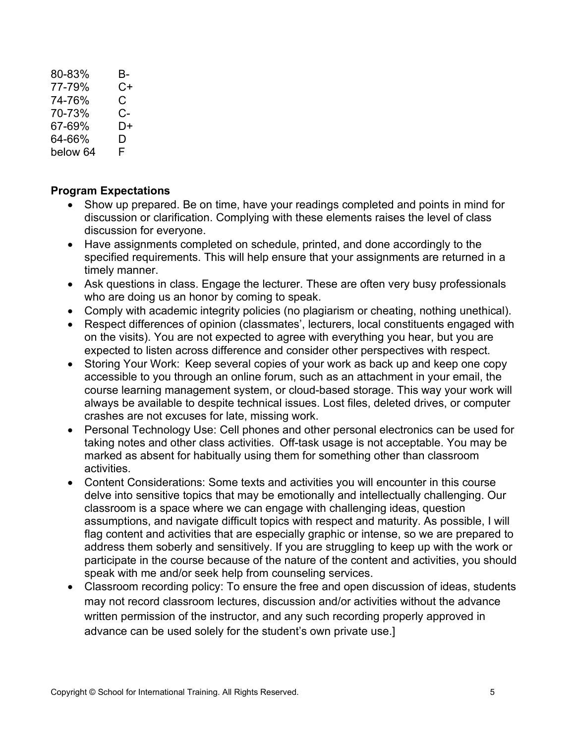80-83% B-77-79% C+ 74-76% C 70-73% C-67-69% D+ 64-66% D<br>helow 64 F helow 64

# **Program Expectations**

- Show up prepared. Be on time, have your readings completed and points in mind for discussion or clarification. Complying with these elements raises the level of class discussion for everyone.
- Have assignments completed on schedule, printed, and done accordingly to the specified requirements. This will help ensure that your assignments are returned in a timely manner.
- Ask questions in class. Engage the lecturer. These are often very busy professionals who are doing us an honor by coming to speak.
- Comply with academic integrity policies (no plagiarism or cheating, nothing unethical).
- Respect differences of opinion (classmates', lecturers, local constituents engaged with on the visits). You are not expected to agree with everything you hear, but you are expected to listen across difference and consider other perspectives with respect.
- Storing Your Work: Keep several copies of your work as back up and keep one copy accessible to you through an online forum, such as an attachment in your email, the course learning management system, or cloud-based storage. This way your work will always be available to despite technical issues. Lost files, deleted drives, or computer crashes are not excuses for late, missing work.
- Personal Technology Use: Cell phones and other personal electronics can be used for taking notes and other class activities.  Off-task usage is not acceptable. You may be marked as absent for habitually using them for something other than classroom activities.
- Content Considerations: Some texts and activities you will encounter in this course delve into sensitive topics that may be emotionally and intellectually challenging. Our classroom is a space where we can engage with challenging ideas, question assumptions, and navigate difficult topics with respect and maturity. As possible, I will flag content and activities that are especially graphic or intense, so we are prepared to address them soberly and sensitively. If you are struggling to keep up with the work or participate in the course because of the nature of the content and activities, you should speak with me and/or seek help from counseling services.
- Classroom recording policy: To ensure the free and open discussion of ideas, students may not record classroom lectures, discussion and/or activities without the advance written permission of the instructor, and any such recording properly approved in advance can be used solely for the student's own private use.]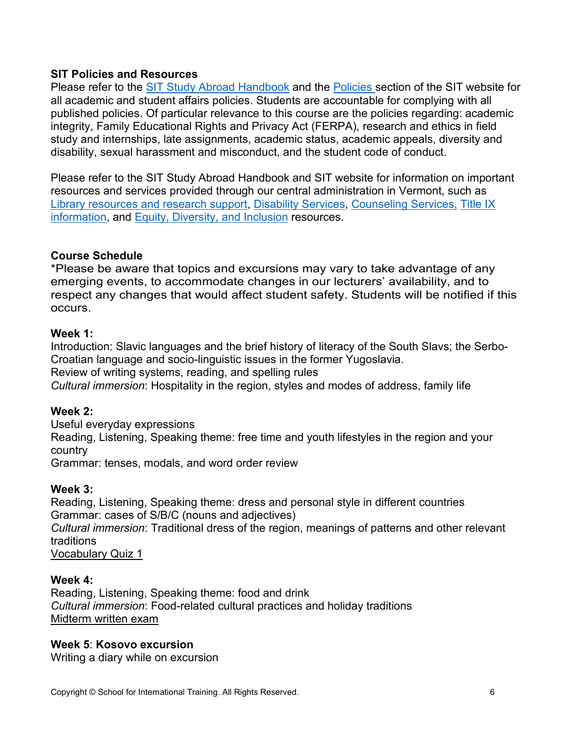# **SIT Policies and Resources**

Please refer to the [SIT Study Abroad Handbook](https://studyabroad.sit.edu/Student-Handbook/) and the [Policies s](https://studyabroad.sit.edu/admitted-students/policies/)ection of the SIT website for all academic and student affairs policies. Students are accountable for complying with all published policies. Of particular relevance to this course are the policies regarding: academic integrity, Family Educational Rights and Privacy Act (FERPA), research and ethics in field study and internships, late assignments, academic status, academic appeals, diversity and disability, sexual harassment and misconduct, and the student code of conduct.

Please refer to the SIT Study Abroad Handbook and SIT website for information on important resources and services provided through our central administration in Vermont, such as [Library resources and research support,](https://studyabroad.sit.edu/admitted-students/student-resources/) [Disability Services,](https://studyabroad.sit.edu/health-safety-and-well-being/disability-services/) [Counseling Services,](https://studyabroad.sit.edu/health-safety-and-well-being/counseling-and-mental-health/) [Title IX](https://studyabroad.sit.edu/health-safety-and-well-being/sexual-safety-title-ix/)  [information,](https://studyabroad.sit.edu/health-safety-and-well-being/sexual-safety-title-ix/) and [Equity, Diversity, and Inclusion](https://studyabroad.sit.edu/health-safety-and-well-being/social-identity/) resources.

## **Course Schedule**

\*Please be aware that topics and excursions may vary to take advantage of any emerging events, to accommodate changes in our lecturers' availability, and to respect any changes that would affect student safety. Students will be notified if this occurs.

## **Week 1:**

Introduction: Slavic languages and the brief history of literacy of the South Slavs; the Serbo-Croatian language and socio-linguistic issues in the former Yugoslavia. Review of writing systems, reading, and spelling rules

*Cultural immersion*: Hospitality in the region, styles and modes of address, family life

## **Week 2:**

Useful everyday expressions

Reading, Listening, Speaking theme: free time and youth lifestyles in the region and your country

Grammar: tenses, modals, and word order review

## **Week 3:**

Reading, Listening, Speaking theme: dress and personal style in different countries Grammar: cases of S/B/C (nouns and adjectives) *Cultural immersion*: Traditional dress of the region, meanings of patterns and other relevant traditions Vocabulary Quiz 1

**Week 4:** Reading, Listening, Speaking theme: food and drink *Cultural immersion*: Food-related cultural practices and holiday traditions Midterm written exam

## **Week 5**: **Kosovo excursion**

Writing a diary while on excursion